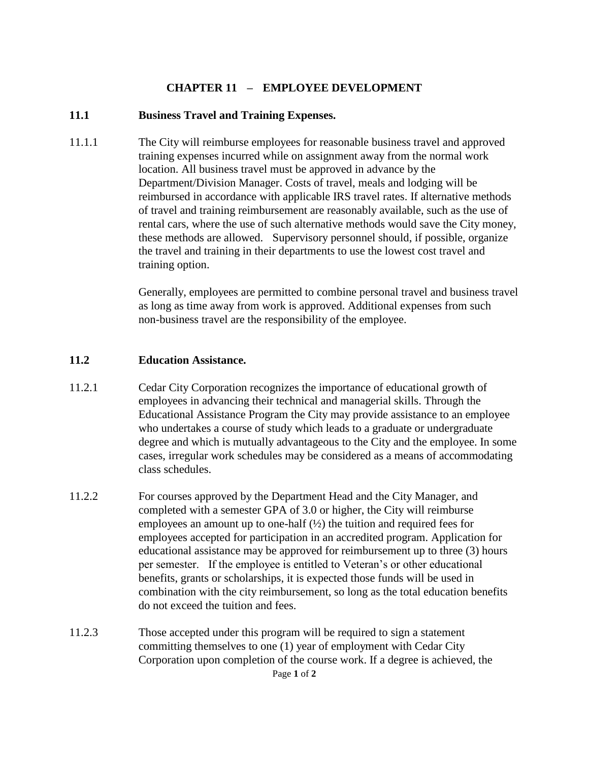## **CHAPTER 11 – EMPLOYEE DEVELOPMENT**

## **11.1 Business Travel and Training Expenses.**

11.1.1 The City will reimburse employees for reasonable business travel and approved training expenses incurred while on assignment away from the normal work location. All business travel must be approved in advance by the Department/Division Manager. Costs of travel, meals and lodging will be reimbursed in accordance with applicable IRS travel rates. If alternative methods of travel and training reimbursement are reasonably available, such as the use of rental cars, where the use of such alternative methods would save the City money, these methods are allowed. Supervisory personnel should, if possible, organize the travel and training in their departments to use the lowest cost travel and training option.

> Generally, employees are permitted to combine personal travel and business travel as long as time away from work is approved. Additional expenses from such non-business travel are the responsibility of the employee.

## **11.2 Education Assistance.**

- 11.2.1 Cedar City Corporation recognizes the importance of educational growth of employees in advancing their technical and managerial skills. Through the Educational Assistance Program the City may provide assistance to an employee who undertakes a course of study which leads to a graduate or undergraduate degree and which is mutually advantageous to the City and the employee. In some cases, irregular work schedules may be considered as a means of accommodating class schedules.
- 11.2.2 For courses approved by the Department Head and the City Manager, and completed with a semester GPA of 3.0 or higher, the City will reimburse employees an amount up to one-half  $(\frac{1}{2})$  the tuition and required fees for employees accepted for participation in an accredited program. Application for educational assistance may be approved for reimbursement up to three (3) hours per semester. If the employee is entitled to Veteran's or other educational benefits, grants or scholarships, it is expected those funds will be used in combination with the city reimbursement, so long as the total education benefits do not exceed the tuition and fees.
- Page **1** of **2** 11.2.3 Those accepted under this program will be required to sign a statement committing themselves to one (1) year of employment with Cedar City Corporation upon completion of the course work. If a degree is achieved, the